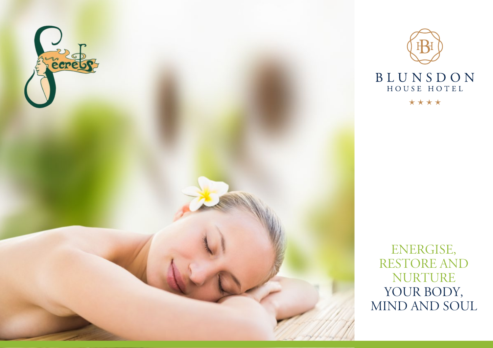



ENERGISE, restore and **NURTURE** YOUR BODY, mind and soul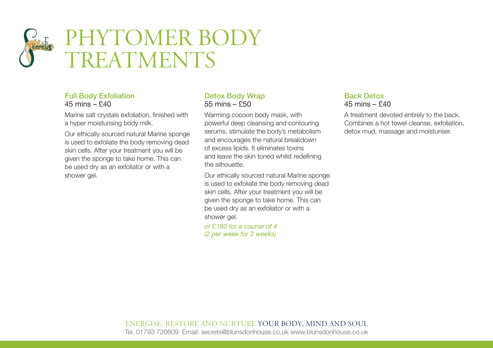# PHYTOMER BODY **TREATMENTS**

## Full Body Exfoliation  $45 \text{ mins} - 640$

Marine salt crystals exfoliation, finished with a hyper moisturising body milk.

Our ethically sourced natural Marine sponge is used to exfoliate the body removing dead skin cells. After your treatment you will be given the sponge to take home. This can be used dry as an exfoliator or with a shower gel.

## Detox Body Wrap 55 mins – £50

Warming cocoon body mask, with powerful deep cleansing and contouring serums, stimulate the body's metabolism and encourages the natural breakdown of excess lipids. It eliminates toxins and leave the skin toned whilst redefining the silhouette.

Our ethically sourced natural Marine sponge is used to exfoliate the body removing dead skin cells. After your treatment you will be given the sponge to take home. This can be used dry as an exfoliator or with a shower gel.

*or £160 for a course of 4 (2 per week for 2 weeks)*

# Back Detox 45 mins – £40

A treatment devoted entirely to the back. Combines a hot towel cleanse, exfoliation, detox mud, massage and moisturiser.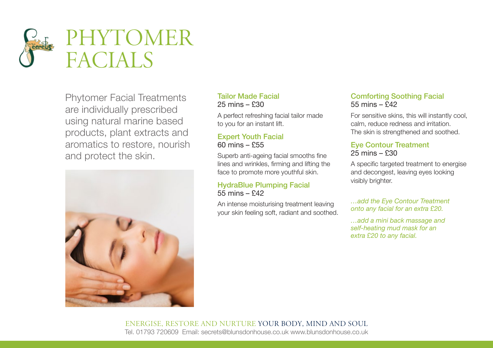

Phytomer Facial Treatments are individually prescribed using natural marine based products, plant extracts and aromatics to restore, nourish and protect the skin.



# Tailor Made Facial 25 mins – £30

A perfect refreshing facial tailor made to you for an instant lift.

## Expert Youth Facial 60 mins – £55

Superb anti-ageing facial smooths fine lines and wrinkles, firming and lifting the face to promote more youthful skin.

# HydraBlue Plumping Facial 55 mins – £42

An intense moisturising treatment leaving your skin feeling soft, radiant and soothed.

# Comforting Soothing Facial 55 mins – £42

For sensitive skins, this will instantly cool, calm, reduce redness and irritation. The skin is strengthened and soothed.

## Eye Contour Treatment 25 mins – £30

A specific targeted treatment to energise and decongest, leaving eyes looking visibly brighter.

## *…add the Eye Contour Treatment onto any facial for an extra £20.*

*…add a mini back massage and self-heating mud mask for an extra £20 to any facial.*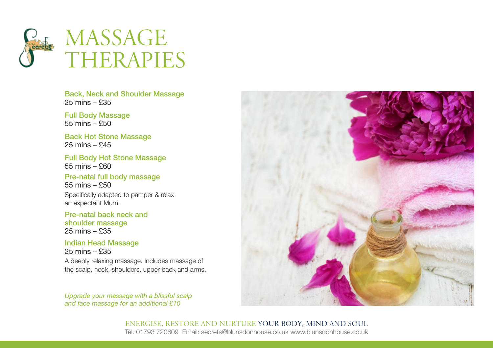

Back, Neck and Shoulder Massage 25 mins – £35

Full Body Massage  $55 \text{ mins} - $50$ 

Back Hot Stone Massage 25 mins – £45

Full Body Hot Stone Massage 55 mins – £60

Pre-natal full body massage 55 mins – £50

Specifically adapted to pamper & relax an expectant Mum.

Pre-natal back neck and shoulder massage 25 mins – £35

Indian Head Massage 25 mins – £35

A deeply relaxing massage. Includes massage of the scalp, neck, shoulders, upper back and arms.

*Upgrade your massage with a blissful scalp and face massage for an additional £10*

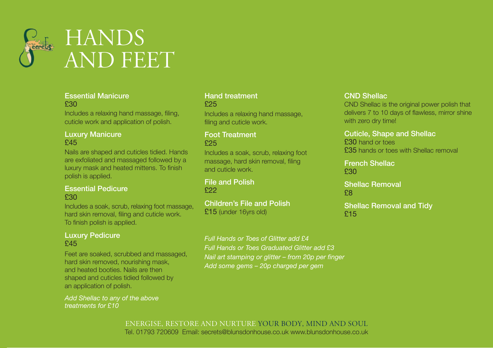

### Essential Manicure £30

Includes a relaxing hand massage, filing, cuticle work and application of polish.

## Luxury Manicure £45

Nails are shaped and cuticles tidied. Hands are exfoliated and massaged followed by a luxury mask and heated mittens. To finish polish is applied.

#### Essential Pedicure £30

Includes a soak, scrub, relaxing foot massage, hard skin removal, filing and cuticle work. To finish polish is applied.

## Luxury Pedicure £45

Feet are soaked, scrubbed and massaged, hard skin removed, nourishing mask, and heated booties. Nails are then shaped and cuticles tidied followed by an application of polish.

*Add Shellac to any of the above treatments for £10*

#### Hand treatment £25

Includes a relaxing hand massage, filing and cuticle work.

#### Foot Treatment £25

Includes a soak, scrub, relaxing foot massage, hard skin removal, filing and cuticle work.

File and Polish £22

Children's File and Polish £15 (under 16yrs old)

## CND Shellac

CND Shellac is the original power polish that delivers 7 to 10 days of flawless, mirror shine with zero dry time!

#### Cuticle, Shape and Shellac

£30 hand or toes £35 hands or toes with Shellac removal

French Shellac £30

Shellac Removal £8

Shellac Removal and Tidy £15

*Full Hands or Toes of Glitter add £4 Full Hands or Toes Graduated Glitter add £3 Nail art stamping or glitter – from 20p per finger Add some gems – 20p charged per gem*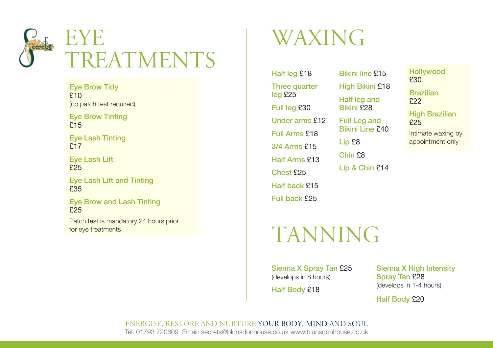

Eye Brow Tidy £10 (no patch test required)

Eye Brow Tinting £15

Eye Lash Tinting £17

Eye Lash Lift £25

Eye Lash Lift and Tinting £35

Eye Brow and Lash Tinting £25

Patch test is mandatory 24 hours prior for eye treatments

# Waxing

Half leg £18 **Three quarter** leg £25 Full leg £30 Under arms £12 Full Arms £18 3/4 Arms £15 Half Arms £13 Chest £25 Half back £15 Full back £25

# **TANNING**

Sienna X Spray Tan £25 (develops in 8 hours)

Half Body £18

Bikini line £15 High Bikini £18 Half leg and Bikini £28 Full Leg and Bikini Line £40

Lip £8

Chin £8 Lip & Chin £14 **Hollywood** £30

Brazilian £22

**High Brazilian** £25

Intimate waxing by appointment only

Sienna X High Intensity Spray Tan £28 (develops in 1-4 hours)

Half Body £20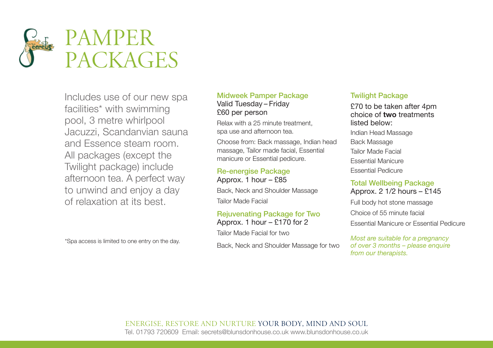

Includes use of our new spa facilities\* with swimming pool, 3 metre whirlpool Jacuzzi, Scandanvian sauna and Essence steam room. All packages (except the Twilight package) include afternoon tea. A perfect way to unwind and enjoy a day of relaxation at its best.

\*Spa access is limited to one entry on the day.

## Midweek Pamper Package Valid Tuesday – Friday £60 per person

Relax with a 25 minute treatment, spa use and afternoon tea.

Choose from: Back massage, Indian head massage, Tailor made facial, Essential manicure or Essential pedicure.

## Re-energise Package

Approx. 1 hour – £85 Back, Neck and Shoulder Massage Tailor Made Facial

## Rejuvenating Package for Two

Approx. 1 hour – £170 for 2

Tailor Made Facial for two

Back, Neck and Shoulder Massage for two

## Twilight Package

£70 to be taken after 4pm choice of **two** treatments listed below:

- Indian Head Massage
- Back Massage Tailor Made Facial Essential Manicure Essential Pedicure

## Total Wellbeing Package Approx. 2 1/2 hours – £145

Full body hot stone massage

Choice of 55 minute facial

Essential Manicure or Essential Pedicure

*Most are suitable for a pregnancy of over 3 months – please enquire from our therapists.*